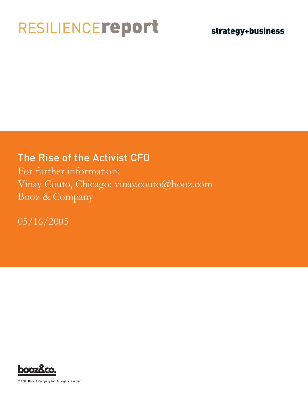## RESILIENCEreport

### strategy+business

### The Rise of the Activist CFO

For further information: Vinay Couto, Chicago: vinay.couto@booz.com Booz & Company

05/16/2005



© 2005 Booz & Company Inc. All rights reserved.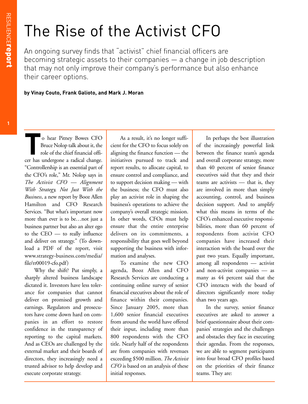# The Rise of the Activist CFO

An ongoing survey finds that "activist" chief financial officers are becoming strategic assets to their companies — a change in job description that may not only improve their company's performance but also enhance their career options.

**by Vinay Couto, Frank Galioto, and Mark J. Moran**

**The State of the Pitney Bowes CFO**<br>Bruce Nolop talk about it, the<br>role of the chief financial offi-<br>cer has undergone a radical change Bruce Nolop talk about it, the role of the chief financial officer has undergone a radical change. "Controllership is an essential part of the CFO's role," Mr. Nolop says in *The Activist CFO — Alignment With Strategy, Not Just With the Business*, a new report by Booz Allen Hamilton and CFO Research Services. "But what's important now more than ever is to be…not just a business partner but also an alter ego to the CEO — to really influence and deliver on strategy." (To download a PDF of the report, visit www.strategy-business.com/media/ file/rr00019-cfo.pdf)

Why the shift? Put simply, a sharply altered business landscape dictated it. Investors have less tolerance for companies that cannot deliver on promised growth and earnings. Regulators and prosecutors have come down hard on companies in an effort to restore confidence in the transparency of reporting to the capital markets. And as CEOs are challenged by the external market and their boards of directors, they increasingly need a trusted advisor to help develop and execute corporate strategy.

As a result, it's no longer sufficient for the CFO to focus solely on aligning the finance function — the initiatives pursued to track and report results, to allocate capital, to ensure control and compliance, and to support decision making — with the business; the CFO must also play an activist role in shaping the business's operations to achieve the company's overall strategic mission. In other words, CFOs must help ensure that the entire enterprise delivers on its commitments, a responsibility that goes well beyond supporting the business with information and analyses.

To examine the new CFO agenda, Booz Allen and CFO Research Services are conducting a continuing online survey of senior financial executives about the role of finance within their companies. Since January 2005, more than 1,600 senior financial executives from around the world have offered their input, including more than 800 respondents with the CFO title. Nearly half of the respondents are from companies with revenues exceeding \$500 million. *The Activist CFO* is based on an analysis of these initial responses.

In perhaps the best illustration of the increasingly powerful link between the finance team's agenda and overall corporate strategy, more than 40 percent of senior finance executives said that they and their teams are activists — that is, they are involved in more than simply accounting, control, and business decision support. And to amplify what this means in terms of the CFO's enhanced executive responsibilities, more than 60 percent of respondents from activist CFO companies have increased their interaction with the board over the past two years. Equally important, among all respondents — activist and non-activist companies — as many as 44 percent said that the CFO interacts with the board of directors significantly more today than two years ago.

In the survey, senior finance executives are asked to answer a brief questionnaire about their companies' strategies and the challenges and obstacles they face in executing their agendas. From the responses, we are able to segment participants into four broad CFO profiles based on the priorities of their finance teams. They are: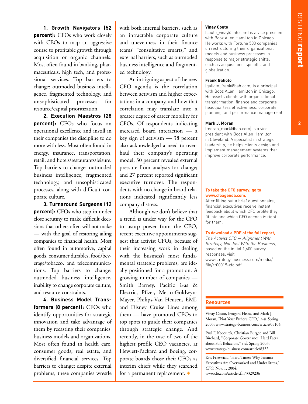$\overline{2}$ 

**1. Growth Navigators (52 percent):** CFOs who work closely with CEOs to map an aggressive course to profitable growth through acquisition or organic channels. Most often found in banking, pharmaceuticals, high tech, and professional services. Top barriers to change: outmoded business intelligence, fragmented technology, and unsophisticated processes for resource/capital prioritization.

**2. Execution Maestros (28 percent):** CFOs who focus on operational excellence and instill in their companies the discipline to do more with less. Most often found in energy, insurance, transportation, retail, and hotels/restaurants/leisure. Top barriers to change: outmoded business intelligence, fragmented technology, and unsophisticated processes, along with difficult corporate culture.

**3. Turnaround Surgeons (12 percent):** CFOs who step in under close scrutiny to make difficult decisions that others often will not make — with the goal of restoring ailing companies to financial health. Most often found in automotive, capital goods, consumer durables, food/beverage/tobacco, and telecommunications. Top barriers to change: outmoded business intelligence, inability to change corporate culture, and resource constraints.

**4. Business Model Transformers (8 percent):** CFOs who identify opportunities for strategic innovation and take advantage of them by recasting their companies' business models and organizations. Most often found in health care, consumer goods, real estate, and diversified financial services. Top barriers to change: despite external problems, these companies wrestle with both internal barriers, such as an intractable corporate culture and unevenness in their finance teams' "consultative smarts," and external barriers, such as outmoded business intelligence and fragmented technology.

An intriguing aspect of the new CFO agenda is the correlation between activism and higher expectations in a company, and how that correlation may translate into a greater degree of career mobility for CFOs. Of respondents indicating increased board interaction — a key sign of activism — 38 percent also acknowledged a need to overhaul their company's operating model; 30 percent revealed external pressure from analysts for change; and 27 percent reported significant executive turnover. The respondents with no change in board relations indicated significantly less company distress.

Although we don't believe that a trend is under way for the CFO to usurp power from the CEO, recent executive appointments suggest that activist CFOs, because of their increasing work in dealing with the business's most fundamental strategic problems, are ideally positioned for a promotion. A growing number of companies — Smith Barney, Pacific Gas & Electric, Pfizer, Metro-Goldwyn-Mayer, Philips-Van Heusen, EMI, and Disney Cruise Lines among them — have promoted CFOs to top spots to guide their companies through strategic change. And recently, in the case of two of the highest profile CEO vacancies, at Hewlett-Packard and Boeing, corporate boards chose their CFOs as interim chiefs while they searched for a permanent replacement.  $\div$ 

#### **Vinay Couto**

(couto\_vinay@bah.com) is a vice president with Booz Allen Hamilton in Chicago. He works with Fortune 500 companies on restructuring their organizational models and business processes in response to major strategic shifts, such as acquisitions, spinoffs, and globalization.

#### **Frank Galioto**

(galioto\_frank@bah.com) is a principal with Booz Allen Hamilton in Chicago. He assists clients with organizational transformation, finance and corporate headquarters effectiveness, corporate planning, and performance management.

#### **Mark J. Moran**

(moran\_mark@bah.com) is a vice president with Booz Allen Hamilton in Cleveland. A specialist in strategic leadership, he helps clients design and implement management systems that improve corporate performance.

#### **To take the CFO survey, go to www.cfoagenda.com.**

After filling out a brief questionnaire, financial executives receive instant feedback about which CFO profile they fit into and which CFO agenda is right for them.

#### **To download a PDF of the full report,**

The Activist CFO — Alignment With Strategy, Not Just With the Business, based on the initial 1,600 survey responses, visit www.strategy-business.com/media/ file/rr00019-cfo.pdf.

#### **Resources**

Vinay Couto, Irmgard Heinz, and Mark J. Moran, "Not Your Father's CFO," *s+b,* Spring 2005; www.strategy-business.com/article/05104

Paul F. Kocourek, Christian Burger, and Bill Birchard, "Corporate Governance: Hard Facts about Soft Behaviors," *s+b,* Spring 2003; www.strategy-business.com/article/8322

Kris Frieswick, "Hard Times: Why Finance Executives Are Overworked and Under Stress," *CFO,* Nov. 1, 2004; www.cfo.com/article.cfm/3329236